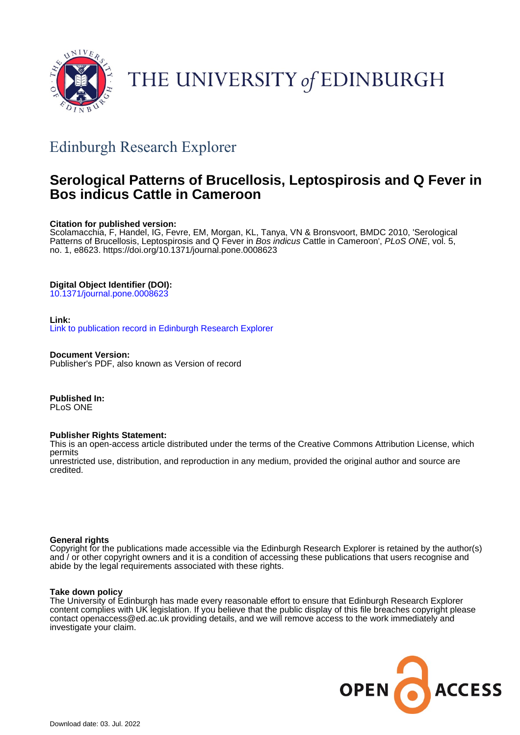

# THE UNIVERSITY of EDINBURGH

## Edinburgh Research Explorer

## **Serological Patterns of Brucellosis, Leptospirosis and Q Fever in Bos indicus Cattle in Cameroon**

## **Citation for published version:**

Scolamacchia, F, Handel, IG, Fevre, EM, Morgan, KL, Tanya, VN & Bronsvoort, BMDC 2010, 'Serological Patterns of Brucellosis, Leptospirosis and Q Fever in Bos indicus Cattle in Cameroon', PLoS ONE, vol. 5, no. 1, e8623.<https://doi.org/10.1371/journal.pone.0008623>

## **Digital Object Identifier (DOI):**

[10.1371/journal.pone.0008623](https://doi.org/10.1371/journal.pone.0008623)

## **Link:**

[Link to publication record in Edinburgh Research Explorer](https://www.research.ed.ac.uk/en/publications/c587633e-c6de-458c-9720-d350a635b6e6)

**Document Version:** Publisher's PDF, also known as Version of record

**Published In:** PLoS ONE

## **Publisher Rights Statement:**

This is an open-access article distributed under the terms of the Creative Commons Attribution License, which permits

unrestricted use, distribution, and reproduction in any medium, provided the original author and source are credited.

## **General rights**

Copyright for the publications made accessible via the Edinburgh Research Explorer is retained by the author(s) and / or other copyright owners and it is a condition of accessing these publications that users recognise and abide by the legal requirements associated with these rights.

## **Take down policy**

The University of Edinburgh has made every reasonable effort to ensure that Edinburgh Research Explorer content complies with UK legislation. If you believe that the public display of this file breaches copyright please contact openaccess@ed.ac.uk providing details, and we will remove access to the work immediately and investigate your claim.

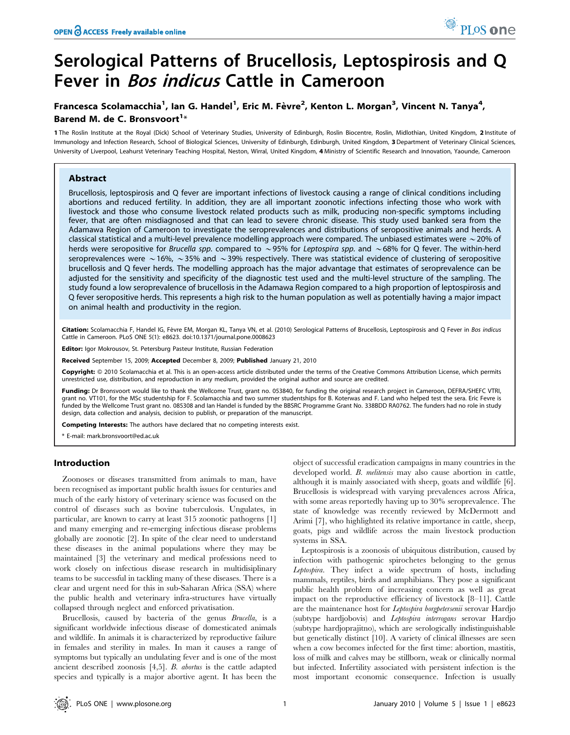## Serological Patterns of Brucellosis, Leptospirosis and Q Fever in Bos indicus Cattle in Cameroon

## Francesca Scolamacchia<sup>1</sup>, Ian G. Handel<sup>1</sup>, Eric M. Fèvre<sup>2</sup>, Kenton L. Morgan<sup>3</sup>, Vincent N. Tanya<sup>4</sup>, Barend M. de C. Bronsvoort<sup>1</sup>\*

1 The Roslin Institute at the Royal (Dick) School of Veterinary Studies, University of Edinburgh, Roslin Biocentre, Roslin, Midlothian, United Kingdom, 2 Institute of Immunology and Infection Research, School of Biological Sciences, University of Edinburgh, Edinburgh, United Kingdom, 3 Department of Veterinary Clinical Sciences, University of Liverpool, Leahurst Veterinary Teaching Hospital, Neston, Wirral, United Kingdom, 4 Ministry of Scientific Research and Innovation, Yaounde, Cameroon

### Abstract

Brucellosis, leptospirosis and Q fever are important infections of livestock causing a range of clinical conditions including abortions and reduced fertility. In addition, they are all important zoonotic infections infecting those who work with livestock and those who consume livestock related products such as milk, producing non-specific symptoms including fever, that are often misdiagnosed and that can lead to severe chronic disease. This study used banked sera from the Adamawa Region of Cameroon to investigate the seroprevalences and distributions of seropositive animals and herds. A classical statistical and a multi-level prevalence modelling approach were compared. The unbiased estimates were  $\sim$  20% of herds were seropositive for Brucella spp. compared to  $\sim$  95% for Leptospira spp. and  $\sim$  68% for Q fever. The within-herd seroprevalences were  $\sim$  16%,  $\sim$  35% and  $\sim$  39% respectively. There was statistical evidence of clustering of seropositive brucellosis and Q fever herds. The modelling approach has the major advantage that estimates of seroprevalence can be adjusted for the sensitivity and specificity of the diagnostic test used and the multi-level structure of the sampling. The study found a low seroprevalence of brucellosis in the Adamawa Region compared to a high proportion of leptospirosis and Q fever seropositive herds. This represents a high risk to the human population as well as potentially having a major impact on animal health and productivity in the region.

Citation: Scolamacchia F, Handel IG, Fèvre EM, Morgan KL, Tanya VN, et al. (2010) Serological Patterns of Brucellosis, Leptospirosis and Q Fever in Bos indicus Cattle in Cameroon. PLoS ONE 5(1): e8623. doi:10.1371/journal.pone.0008623

**Editor:** Igor Mokrousov, St. Petersburg Pasteur Institute, Russian Federation

Received September 15, 2009; Accepted December 8, 2009; Published January 21, 2010

Copyright: © 2010 Scolamacchia et al. This is an open-access article distributed under the terms of the Creative Commons Attribution License, which permits unrestricted use, distribution, and reproduction in any medium, provided the original author and source are credited.

Funding: Dr Bronsvoort would like to thank the Wellcome Trust, grant no. 053840, for funding the original research project in Cameroon, DEFRA/SHEFC VTRI, grant no. VT101, for the MSc studentship for F. Scolamacchia and two summer studentships for B. Koterwas and F. Land who helped test the sera. Eric Fevre is funded by the Wellcome Trust grant no. 085308 and Ian Handel is funded by the BBSRC Programme Grant No. 338BDD RA0762. The funders had no role in study design, data collection and analysis, decision to publish, or preparation of the manuscript.

Competing Interests: The authors have declared that no competing interests exist.

\* E-mail: mark.bronsvoort@ed.ac.uk

#### Introduction

Zoonoses or diseases transmitted from animals to man, have been recognised as important public health issues for centuries and much of the early history of veterinary science was focused on the control of diseases such as bovine tuberculosis. Ungulates, in particular, are known to carry at least 315 zoonotic pathogens [1] and many emerging and re-emerging infectious disease problems globally are zoonotic [2]. In spite of the clear need to understand these diseases in the animal populations where they may be maintained [3] the veterinary and medical professions need to work closely on infectious disease research in multidisiplinary teams to be successful in tackling many of these diseases. There is a clear and urgent need for this in sub-Saharan Africa (SSA) where the public health and veterinary infra-structures have virtually collapsed through neglect and enforced privatisation.

Brucellosis, caused by bacteria of the genus Brucella, is a significant worldwide infectious disease of domesticated animals and wildlife. In animals it is characterized by reproductive failure in females and sterility in males. In man it causes a range of symptoms but typically an undulating fever and is one of the most ancient described zoonosis [4,5]. B. abortus is the cattle adapted species and typically is a major abortive agent. It has been the

object of successful eradication campaigns in many countries in the developed world. B. melitensis may also cause abortion in cattle, although it is mainly associated with sheep, goats and wildlife [6]. Brucellosis is widespread with varying prevalences across Africa, with some areas reportedly having up to 30% seroprevalence. The state of knowledge was recently reviewed by McDermott and Arimi [7], who highlighted its relative importance in cattle, sheep, goats, pigs and wildlife across the main livestock production systems in SSA.

PLoS one

Leptospirosis is a zoonosis of ubiquitous distribution, caused by infection with pathogenic spirochetes belonging to the genus Leptospira. They infect a wide spectrum of hosts, including mammals, reptiles, birds and amphibians. They pose a significant public health problem of increasing concern as well as great impact on the reproductive efficiency of livestock [8–11]. Cattle are the maintenance host for Leptospira borgpetersenii serovar Hardjo (subtype hardjobovis) and Leptospira interrogans serovar Hardjo (subtype hardjoprajitno), which are serologically indistinguishable but genetically distinct [10]. A variety of clinical illnesses are seen when a cow becomes infected for the first time: abortion, mastitis, loss of milk and calves may be stillborn, weak or clinically normal but infected. Infertility associated with persistent infection is the most important economic consequence. Infection is usually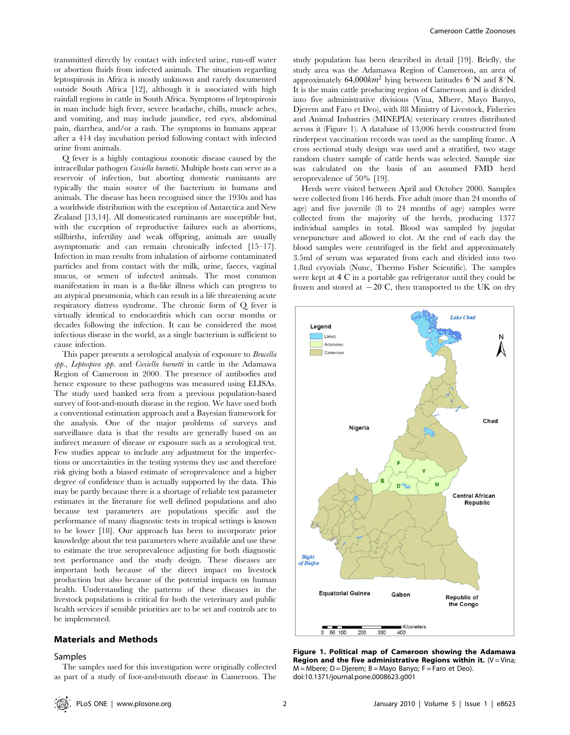transmitted directly by contact with infected urine, run-off water or abortion fluids from infected animals. The situation regarding leptospirosis in Africa is mostly unknown and rarely documented outside South Africa [12], although it is associated with high rainfall regions in cattle in South Africa. Symptoms of leptospirosis in man include high fever, severe headache, chills, muscle aches, and vomiting, and may include jaundice, red eyes, abdominal pain, diarrhea, and/or a rash. The symptoms in humans appear after a 414 day incubation period following contact with infected urine from animals.

Q fever is a highly contagious zoonotic disease caused by the intracellular pathogen Coxiella burnetii. Multiple hosts can serve as a reservoir of infection, but aborting domestic ruminants are typically the main source of the bacterium in humans and animals. The disease has been recognised since the 1930s and has a worldwide distribution with the exception of Antarctica and New Zealand [13,14]. All domesticated ruminants are susceptible but, with the exception of reproductive failures such as abortions, stillbirths, infertility and weak offspring, animals are usually asymptomatic and can remain chronically infected [15–17]. Infection in man results from inhalation of airborne contaminated particles and from contact with the milk, urine, faeces, vaginal mucus, or semen of infected animals. The most common manifestation in man is a flu-like illness which can progress to an atypical pneumonia, which can result in a life threatening acute respiratory distress syndrome. The chronic form of Q fever is virtually identical to endocarditis which can occur months or decades following the infection. It can be considered the most infectious disease in the world, as a single bacterium is sufficient to cause infection.

This paper presents a serological analysis of exposure to *Brucella* spp., Leptospira spp. and Coxiella burnetti in cattle in the Adamawa Region of Cameroon in 2000. The presence of antibodies and hence exposure to these pathogens was measured using ELISAs. The study used banked sera from a previous population-based survey of foot-and-mouth disease in the region. We have used both a conventional estimation approach and a Bayesian framework for the analysis. One of the major problems of surveys and surveillance data is that the results are generally based on an indirect measure of disease or exposure such as a serological test. Few studies appear to include any adjustment for the imperfections or uncertainties in the testing systems they use and therefore risk giving both a biased estimate of seroprevalence and a higher degree of confidence than is actually supported by the data. This may be partly because there is a shortage of reliable test parameter estimates in the literature for well defined populations and also because test parameters are populations specific and the performance of many diagnostic tests in tropical settings is known to be lower [18]. Our approach has been to incorporate prior knowledge about the test parameters where available and use these to estimate the true seroprevalence adjusting for both diagnostic test performance and the study design. These diseases are important both because of the direct impact on livestock production but also because of the potential impacts on human health. Understanding the patterns of these diseases in the livestock populations is critical for both the veterinary and public health services if sensible priorities are to be set and controls are to be implemented.

#### Materials and Methods

#### Samples

Cameroon Cattle Zoonoses

study population has been described in detail [19]. Briefly, the study area was the Adamawa Region of Cameroon, an area of approximately  $64,000km^2$  lying between latitudes  $6°N$  and  $8°N$ . It is the main cattle producing region of Cameroon and is divided into five administrative divisions (Vina, Mbere, Mayo Banyo, Djerem and Faro et Deo), with 88 Ministry of Livestock, Fisheries and Animal Industries (MINEPIA) veterinary centres distributed across it (Figure 1). A database of 13,006 herds constructed from rinderpest vaccination records was used as the sampling frame. A cross sectional study design was used and a stratified, two stage random cluster sample of cattle herds was selected. Sample size was calculated on the basis of an assumed FMD herd seroprevalence of 50% [19].

Herds were visited between April and October 2000. Samples were collected from 146 herds. Five adult (more than 24 months of age) and five juvenile (8 to 24 months of age) samples were collected from the majority of the herds, producing 1377 individual samples in total. Blood was sampled by jugular venepuncture and allowed to clot. At the end of each day the blood samples were centrifuged in the field and approximately 3.5ml of serum was separated from each and divided into two 1.8ml cryovials (Nunc, Thermo Fisher Scientific). The samples were kept at 4°C in a portable gas refrigerator until they could be frozen and stored at  $-20^{\circ}$ C, then transported to the UK on dry



Figure 1. Political map of Cameroon showing the Adamawa Region and the five administrative Regions within it.  $(V = Vina;$ M = Mbere; D = Djerem; B = Mayo Banyo; F = Faro et Deo). doi:10.1371/journal.pone.0008623.g001

The samples used for this investigation were originally collected as part of a study of foot-and-mouth disease in Cameroon. The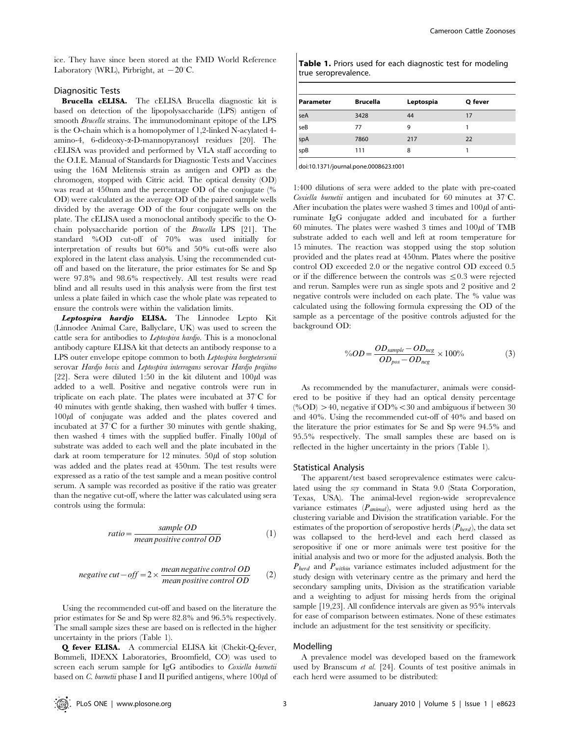ice. They have since been stored at the FMD World Reference Laboratory (WRL), Pirbright, at  $-20^{\circ}$ C.

#### Diagnositic Tests

Brucella cELISA. The cELISA Brucella diagnostic kit is based on detection of the lipopolysaccharide (LPS) antigen of smooth Brucella strains. The immunodominant epitope of the LPS is the O-chain which is a homopolymer of 1,2-linked N-acylated 4 amino-4, 6-dideoxy-a-D-mannopyranosyl residues [20]. The cELISA was provided and performed by VLA staff according to the O.I.E. Manual of Standards for Diagnostic Tests and Vaccines using the 16M Melitensis strain as antigen and OPD as the chromogen, stopped with Citric acid. The optical density (OD) was read at 450nm and the percentage OD of the conjugate (% OD) were calculated as the average OD of the paired sample wells divided by the average OD of the four conjugate wells on the plate. The cELISA used a monoclonal antibody specific to the Ochain polysaccharide portion of the Brucella LPS [21]. The standard %OD cut-off of 70% was used initially for interpretation of results but 60% and 50% cut-offs were also explored in the latent class analysis. Using the recommended cutoff and based on the literature, the prior estimates for Se and Sp were 97.8% and 98.6% respectively. All test results were read blind and all results used in this analysis were from the first test unless a plate failed in which case the whole plate was repeated to ensure the controls were within the validation limits.

Leptospira hardjo ELISA. The Linnodee Lepto Kit (Linnodee Animal Care, Ballyclare, UK) was used to screen the cattle sera for antibodies to Leptospira hardjo. This is a monoclonal antibody capture ELISA kit that detects an antibody response to a LPS outer envelope epitope common to both Leptospira borgpetersenii serovar Hardjo bovis and Leptospira interrogans serovar Hardjo prajitno [22]. Sera were diluted 1:50 in the kit dilutent and  $100\mu$ l was added to a well. Positive and negative controls were run in triplicate on each plate. The plates were incubated at  $37^{\circ}$ C for 40 minutes with gentle shaking, then washed with buffer 4 times.  $100\mu$ l of conjugate was added and the plates covered and incubated at 37°C for a further 30 minutes with gentle shaking, then washed 4 times with the supplied buffer. Finally  $100\mu l$  of substrate was added to each well and the plate incubated in the dark at room temperature for 12 minutes.  $50 \mu$ l of stop solution was added and the plates read at 450nm. The test results were expressed as a ratio of the test sample and a mean positive control serum. A sample was recorded as positive if the ratio was greater than the negative cut-off, where the latter was calculated using sera controls using the formula:

$$
ratio = \frac{sample\ OD}{mean\ positive\ control\ OD} \tag{1}
$$

negative cut 
$$
-
$$
 *off* =  $2 \times \frac{mean negative control OD}{mean positive control OD}$  (2)

Using the recommended cut-off and based on the literature the prior estimates for Se and Sp were 82.8% and 96.5% respectively. The small sample sizes these are based on is reflected in the higher uncertainty in the priors (Table 1).

Q fever ELISA. A commercial ELISA kit (Chekit-Q-fever, Bommeli, IDEXX Laboratories, Broomfield, CO) was used to screen each serum sample for IgG antibodies to Coxiella burnetii based on  $C$ . burnetii phase I and II purified antigens, where  $100\mu$ l of

| Parameter  | <b>Brucella</b> | Leptospia | Q fever |  |
|------------|-----------------|-----------|---------|--|
| seA        | 3428            | 44        | 17      |  |
| seB        | 77              | 9         |         |  |
|            | 7860            | 217       | 22      |  |
| spA<br>spB | 111             | 8         |         |  |

Table 1. Priors used for each diagnostic test for modeling

doi:10.1371/journal.pone.0008623.t001

true seroprevalence.

1:400 dilutions of sera were added to the plate with pre-coated Coxiella burnetii antigen and incubated for 60 minutes at  $37^{\circ}$ C. After incubation the plates were washed 3 times and  $100\mu$ l of antiruminate IgG conjugate added and incubated for a further 60 minutes. The plates were washed 3 times and  $100\mu$ l of TMB substrate added to each well and left at room temperature for 15 minutes. The reaction was stopped using the stop solution provided and the plates read at 450nm. Plates where the positive control OD exceeded 2.0 or the negative control OD exceed 0.5 or if the difference between the controls was  $\leq 0.3$  were rejected and rerun. Samples were run as single spots and 2 positive and 2 negative controls were included on each plate. The % value was calculated using the following formula expressing the OD of the sample as a percentage of the positive controls adjusted for the background OD:

$$
\%OD = \frac{OD_{sample} - OD_{neg}}{OD_{pos} - OD_{neg}} \times 100\%
$$
\n(3)

As recommended by the manufacturer, animals were considered to be positive if they had an optical density percentage (%OD)  $>40$ , negative if OD% < 30 and ambiguous if between 30 and 40%. Using the recommended cut-off of 40% and based on the literature the prior estimates for Se and Sp were 94.5% and 95.5% respectively. The small samples these are based on is reflected in the higher uncertainty in the priors (Table 1).

#### Statistical Analysis

The apparent/test based seroprevalence estimates were calculated using the svy command in Stata 9.0 (Stata Corporation, Texas, USA). The animal-level region-wide seroprevalence variance estimates  $(P_{animal})$ , were adjusted using herd as the clustering variable and Division the stratification variable. For the estimates of the proportion of seropostive herds  $(P_{herd})$ , the data set was collapsed to the herd-level and each herd classed as seropositive if one or more animals were test positive for the initial analysis and two or more for the adjusted analysis. Both the  $P_{\text{herd}}$  and  $P_{\text{within}}$  variance estimates included adjustment for the study design with veterinary centre as the primary and herd the secondary sampling units, Division as the stratification variable and a weighting to adjust for missing herds from the original sample [19,23]. All confidence intervals are given as 95% intervals for ease of comparison between estimates. None of these estimates include an adjustment for the test sensitivity or specificity.

#### Modelling

A prevalence model was developed based on the framework used by Branscum et al. [24]. Counts of test positive animals in each herd were assumed to be distributed: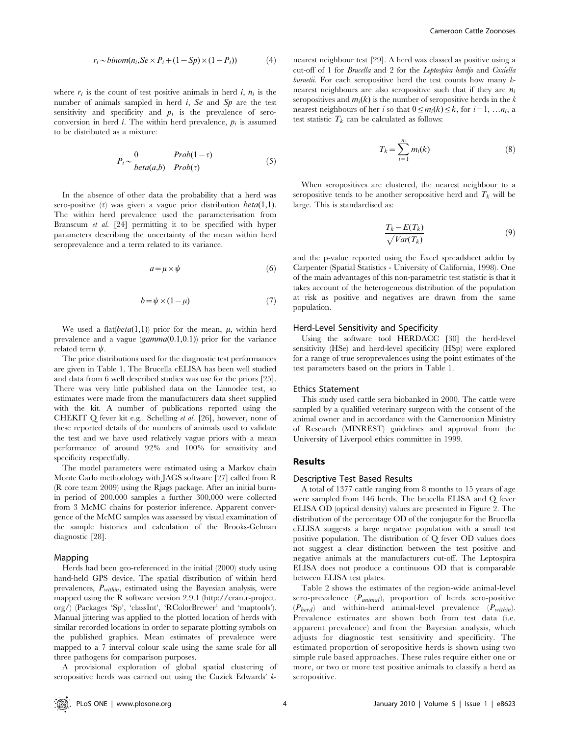$$
r_i \sim binom(n_i, Se \times P_i + (1 - Sp) \times (1 - P_i))
$$
 (4)

where  $r_i$  is the count of test positive animals in herd i,  $n_i$  is the number of animals sampled in herd  $i$ ,  $\mathcal{S}e$  and  $\mathcal{S}p$  are the test sensitivity and specificity and  $p_i$  is the prevalence of seroconversion in herd  $i$ . The within herd prevalence,  $p_i$  is assumed to be distributed as a mixture:

$$
P_i \sim \begin{cases} 0 & Prob(1-\tau) \\ beta(a,b) & Prob(\tau) \end{cases} \tag{5}
$$

In the absence of other data the probability that a herd was sero-positive  $(τ)$  was given a vague prior distribution *beta*(1,1). The within herd prevalence used the parameterisation from Branscum et al. [24] permitting it to be specified with hyper parameters describing the uncertainty of the mean within herd seroprevalence and a term related to its variance.

$$
a = \mu \times \psi \tag{6}
$$

$$
b = \psi \times (1 - \mu) \tag{7}
$$

We used a flat  $beta(1,1)$  prior for the mean,  $\mu$ , within herd prevalence and a vague  $(gamma(0.1,0.1))$  prior for the variance related term  $\psi$ .

The prior distributions used for the diagnostic test performances are given in Table 1. The Brucella cELISA has been well studied and data from 6 well described studies was use for the priors [25]. There was very little published data on the Linnodee test, so estimates were made from the manufacturers data sheet supplied with the kit. A number of publications reported using the CHEKIT Q fever kit e.g.. Schelling et al. [26], however, none of these reported details of the numbers of animals used to validate the test and we have used relatively vague priors with a mean performance of around 92% and 100% for sensitivity and specificity respectfully.

The model parameters were estimated using a Markov chain Monte Carlo methodology with JAGS software [27] called from R (R core team 2009) using the Rjags package. After an initial burnin period of 200,000 samples a further 300,000 were collected from 3 McMC chains for posterior inference. Apparent convergence of the McMC samples was assessed by visual examination of the sample histories and calculation of the Brooks-Gelman diagnostic [28].

#### Mapping

Herds had been geo-referenced in the initial (2000) study using hand-held GPS device. The spatial distribution of within herd prevalences,  $P_{within}$ , estimated using the Bayesian analysis, were mapped using the R software version 2.9.1 (http://cran.r-project. org/) (Packages 'Sp', 'classInt', 'RColorBrewer' and 'maptools'). Manual jittering was applied to the plotted location of herds with similar recorded locations in order to separate plotting symbols on the published graphics. Mean estimates of prevalence were mapped to a 7 interval colour scale using the same scale for all three pathogens for comparison purposes.

A provisional exploration of global spatial clustering of seropositive herds was carried out using the Cuzick Edwards' knearest neighbour test [29]. A herd was classed as positive using a cut-off of 1 for Brucella and 2 for the Leptospira hardjo and Coxiella burnetii. For each seropositive herd the test counts how many  $k$ nearest neighbours are also seropositive such that if they are  $n_i$ seropositives and  $m<sub>i</sub>(k)$  is the number of seropositive herds in the k nearest neighbours of her i so that  $0 \le m_i(k) \le k$ , for  $i = 1, \ldots, n_i$ , a test statistic  $T_k$  can be calculated as follows:

$$
T_k = \sum_{i=1}^{n_i} m_i(k) \tag{8}
$$

When seropositives are clustered, the nearest neighbour to a seropositive tends to be another seropositive herd and  $T_k$  will be large. This is standardised as:

$$
\frac{T_k - E(T_k)}{\sqrt{Var(T_k)}}\tag{9}
$$

and the p-value reported using the Excel spreadsheet addin by Carpenter (Spatial Statistics - University of California, 1998). One of the main advantages of this non-parametric test statistic is that it takes account of the heterogeneous distribution of the population at risk as positive and negatives are drawn from the same population.

#### Herd-Level Sensitivity and Specificity

Using the software tool HERDACC [30] the herd-level sensitivity (HSe) and herd-level specificity (HSp) were explored for a range of true seroprevalences using the point estimates of the test parameters based on the priors in Table 1.

#### Ethics Statement

This study used cattle sera biobanked in 2000. The cattle were sampled by a qualified veterinary surgeon with the consent of the animal owner and in accordance with the Cameroonian Ministry of Research (MINREST) guidelines and approval from the University of Liverpool ethics committee in 1999.

#### Results

#### Descriptive Test Based Results

A total of 1377 cattle ranging from 8 months to 15 years of age were sampled from 146 herds. The brucella ELISA and Q fever ELISA OD (optical density) values are presented in Figure 2. The distribution of the percentage OD of the conjugate for the Brucella cELISA suggests a large negative population with a small test positive population. The distribution of Q fever OD values does not suggest a clear distinction between the test positive and negative animals at the manufacturers cut-off. The Leptospira ELISA does not produce a continuous OD that is comparable between ELISA test plates.

Table 2 shows the estimates of the region-wide animal-level sero-prevalence  $(P_{animal})$ , proportion of herds sero-positive  $(P_{herd})$  and within-herd animal-level prevalence  $(P_{within})$ . Prevalence estimates are shown both from test data (i.e. apparent prevalence) and from the Bayesian analysis, which adjusts for diagnostic test sensitivity and specificity. The estimated proportion of seropositive herds is shown using two simple rule based approaches. These rules require either one or more, or two or more test positive animals to classify a herd as seropositive.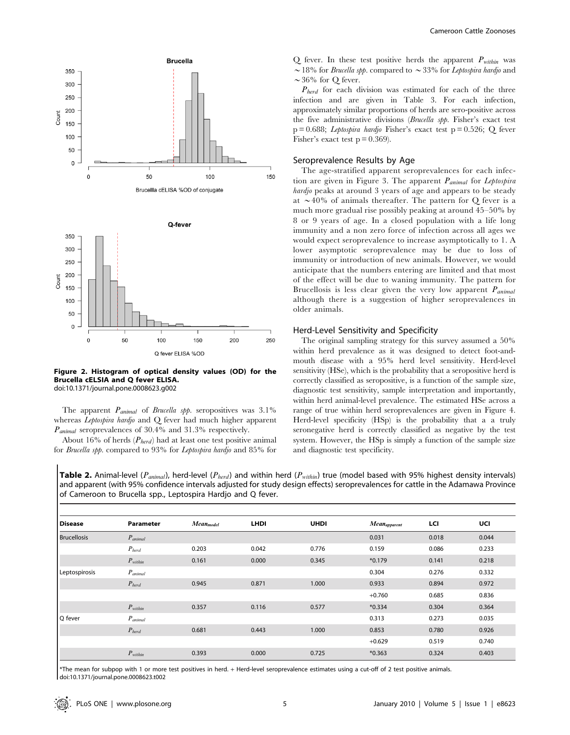

Figure 2. Histogram of optical density values (OD) for the Brucella cELSIA and Q fever ELISA. doi:10.1371/journal.pone.0008623.g002

The apparent  $P_{animal}$  of *Brucella spp*. seropositives was  $3.1\%$ whereas Leptospira hardjo and Q fever had much higher apparent Panimal seroprevalences of 30.4% and 31.3% respectively.

About 16% of herds  $(P_{herd})$  had at least one test positive animal for Brucella spp. compared to 93% for Leptospira hardjo and 85% for

Q fever. In these test positive herds the apparent  $P_{within}$  was  $\sim$  18% for *Brucella spp*. compared to  $\sim$  33% for *Leptospira hardjo* and  $\sim 36\%$  for Q fever.

 $P_{herd}$  for each division was estimated for each of the three infection and are given in Table 3. For each infection, approximately similar proportions of herds are sero-positive across the five administrative divisions (Brucella spp. Fisher's exact test  $p = 0.688$ ; Leptospira hardjo Fisher's exact test  $p = 0.526$ ; Q fever Fisher's exact test  $p = 0.369$ .

#### Seroprevalence Results by Age

The age-stratified apparent seroprevalences for each infection are given in Figure 3. The apparent  $P_{animal}$  for Leptospira hardjo peaks at around 3 years of age and appears to be steady at  $\sim$ 40% of animals thereafter. The pattern for Q fever is a much more gradual rise possibly peaking at around 45–50% by 8 or 9 years of age. In a closed population with a life long immunity and a non zero force of infection across all ages we would expect seroprevalence to increase asymptotically to 1. A lower asymptotic seroprevalence may be due to loss of immunity or introduction of new animals. However, we would anticipate that the numbers entering are limited and that most of the effect will be due to waning immunity. The pattern for Brucellosis is less clear given the very low apparent  $P_{animal}$ although there is a suggestion of higher seroprevalences in older animals.

#### Herd-Level Sensitivity and Specificity

The original sampling strategy for this survey assumed a 50% within herd prevalence as it was designed to detect foot-andmouth disease with a 95% herd level sensitivity. Herd-level sensitivity (HSe), which is the probability that a seropositive herd is correctly classified as seropositive, is a function of the sample size, diagnostic test sensitivity, sample interpretation and importantly, within herd animal-level prevalence. The estimated HSe across a range of true within herd seroprevalences are given in Figure 4. Herd-level specificity (HSp) is the probability that a a truly seronegative herd is correctly classified as negative by the test system. However, the HSp is simply a function of the sample size and diagnostic test specificity.

Table 2. Animal-level ( $P_{aminal}$ ), herd-level ( $P_{herd}$ ) and within herd ( $P_{within}$ ) true (model based with 95% highest density intervals) and apparent (with 95% confidence intervals adjusted for study design effects) seroprevalences for cattle in the Adamawa Province of Cameroon to Brucella spp., Leptospira Hardjo and Q fever.

| <b>Disease</b>     | Parameter            | <b>Mean</b> <sub>model</sub> | <b>LHDI</b> | <b>UHDI</b> | <b>Mean</b> <sub>apparent</sub> | LCI   | UCI   |
|--------------------|----------------------|------------------------------|-------------|-------------|---------------------------------|-------|-------|
| <b>Brucellosis</b> | $P_{\text{minimal}}$ |                              |             |             | 0.031                           | 0.018 | 0.044 |
|                    | $P_{herd}$           | 0.203                        | 0.042       | 0.776       | 0.159                           | 0.086 | 0.233 |
|                    | $P_{within}$         | 0.161                        | 0.000       | 0.345       | $*0.179$                        | 0.141 | 0.218 |
| Leptospirosis      | $P_{\text{minimal}}$ |                              |             |             | 0.304                           | 0.276 | 0.332 |
|                    | $P_{herd}$           | 0.945                        | 0.871       | 1.000       | 0.933                           | 0.894 | 0.972 |
|                    |                      |                              |             |             | $+0.760$                        | 0.685 | 0.836 |
|                    | $P_{within}$         | 0.357                        | 0.116       | 0.577       | $*0.334$                        | 0.304 | 0.364 |
| Q fever            | $P_{\text{minimal}}$ |                              |             |             | 0.313                           | 0.273 | 0.035 |
|                    | $P_{herd}$           | 0.681                        | 0.443       | 1.000       | 0.853                           | 0.780 | 0.926 |
|                    |                      |                              |             |             | $+0.629$                        | 0.519 | 0.740 |
|                    | $P_{within}$         | 0.393                        | 0.000       | 0.725       | $*0.363$                        | 0.324 | 0.403 |

\*The mean for subpop with 1 or more test positives in herd. + Herd-level seroprevalence estimates using a cut-off of 2 test positive animals. doi:10.1371/journal.pone.0008623.t002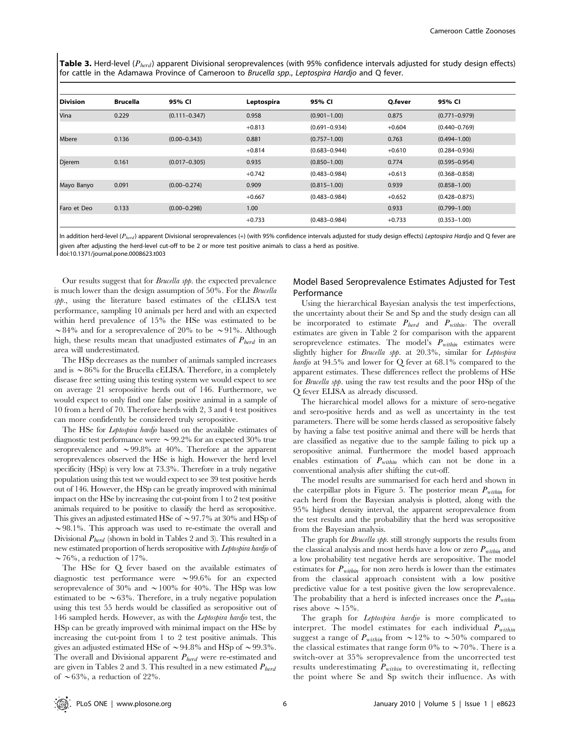Table 3. Herd-level (P<sub>herd</sub>) apparent Divisional seroprevalences (with 95% confidence intervals adjusted for study design effects) for cattle in the Adamawa Province of Cameroon to Brucella spp., Leptospira Hardjo and Q fever.

| <b>Division</b> | <b>Brucella</b> | 95% CI            | Leptospira | 95% CI            | Q.fever  | 95% CI            |  |
|-----------------|-----------------|-------------------|------------|-------------------|----------|-------------------|--|
| Vina            | 0.229           | $(0.111 - 0.347)$ | 0.958      | $(0.901 - 1.00)$  | 0.875    | $(0.771 - 0.979)$ |  |
|                 |                 |                   | $+0.813$   | $(0.691 - 0.934)$ | $+0.604$ | $(0.440 - 0.769)$ |  |
| Mbere           | 0.136           | $(0.00 - 0.343)$  | 0.881      | $(0.757 - 1.00)$  | 0.763    | $(0.494 - 1.00)$  |  |
|                 |                 |                   | $+0.814$   | $(0.683 - 0.944)$ | $+0.610$ | $(0.284 - 0.936)$ |  |
| Djerem          | 0.161           | $(0.017 - 0.305)$ | 0.935      | $(0.850 - 1.00)$  | 0.774    | $(0.595 - 0.954)$ |  |
|                 |                 |                   | $+0.742$   | $(0.483 - 0.984)$ | $+0.613$ | $(0.368 - 0.858)$ |  |
| Mayo Banyo      | 0.091           | $(0.00 - 0.274)$  | 0.909      | $(0.815 - 1.00)$  | 0.939    | $(0.858 - 1.00)$  |  |
|                 |                 |                   | $+0.667$   | $(0.483 - 0.984)$ | $+0.652$ | $(0.428 - 0.875)$ |  |
| Faro et Deo     | 0.133           | $(0.00 - 0.298)$  | 1.00       |                   | 0.933    | $(0.799 - 1.00)$  |  |
|                 |                 |                   | $+0.733$   | $(0.483 - 0.984)$ | $+0.733$ | $(0.353 - 1.00)$  |  |

In addition herd-level (Pherd) apparent Divisional seroprevalences (+) (with 95% confidence intervals adjusted for study design effects) Leptospira Hardjo and Q fever are given after adjusting the herd-level cut-off to be 2 or more test positive animals to class a herd as positive. doi:10.1371/journal.pone.0008623.t003

Our results suggest that for Brucella spp. the expected prevalence is much lower than the design assumption of 50%. For the Brucella spp., using the literature based estimates of the cELISA test performance, sampling 10 animals per herd and with an expected within herd prevalence of 15% the HSe was estimated to be  $\sim$  84% and for a seroprevalence of 20% to be  $\sim$  91%. Although high, these results mean that unadjusted estimates of  $P_{herd}$  in an area will underestimated.

The HSp decreases as the number of animals sampled increases and is  $\sim86\%$  for the Brucella cELISA. Therefore, in a completely disease free setting using this testing system we would expect to see on average 21 seropositive herds out of 146. Furthermore, we would expect to only find one false positive animal in a sample of 10 from a herd of 70. Therefore herds with 2, 3 and 4 test positives can more confidently be considered truly seropositive.

The HSe for *Leptospira hardjo* based on the available estimates of diagnostic test performance were  $\sim$  99.2% for an expected 30% true seroprevalence and  $\sim$  99.8% at 40%. Therefore at the apparent seroprevalences observed the HSe is high. However the herd level specificity (HSp) is very low at 73.3%. Therefore in a truly negative population using this test we would expect to see 39 test positive herds out of 146. However, the HSp can be greatly improved with minimal impact on the HSe by increasing the cut-point from 1 to 2 test positive animals required to be positive to classify the herd as seropositive. This gives an adjusted estimated HSe of  $\sim$  97.7% at 30% and HSp of  $\sim$ 98.1%. This approach was used to re-estimate the overall and Divisional  $P_{herd}$  (shown in bold in Tables 2 and 3). This resulted in a new estimated proportion of herds seropositive with Leptospira hardjo of  $\sim$  76%, a reduction of 17%.

The HSe for Q fever based on the available estimates of diagnostic test performance were  $\sim 99.6\%$  for an expected seroprevalence of 30% and  $\sim$  100% for 40%. The HSp was low estimated to be  $\sim 63\%$ . Therefore, in a truly negative population using this test 55 herds would be classified as seropositive out of 146 sampled herds. However, as with the Leptospira hardjo test, the HSp can be greatly improved with minimal impact on the HSe by increasing the cut-point from 1 to 2 test positive animals. This gives an adjusted estimated HSe of  $\sim$  94.8% and HSp of  $\sim$  99.3%. The overall and Divisional apparent  $P_{herd}$  were re-estimated and are given in Tables 2 and 3. This resulted in a new estimated  $P_{herd}$ of  $\sim 63\%$ , a reduction of 22%.

### Model Based Seroprevalence Estimates Adjusted for Test Performance

Using the hierarchical Bayesian analysis the test imperfections, the uncertainty about their Se and Sp and the study design can all be incorporated to estimate  $P_{herd}$  and  $P_{within}$ . The overall estimates are given in Table 2 for comparison with the apparent seroprevelence estimates. The model's  $P_{within}$  estimates were slightly higher for *Brucella spp.* at 20.3%, similar for *Leptospira* hardjo at 94.5% and lower for Q fever at 68.1% compared to the apparent estimates. These differences reflect the problems of HSe for Brucella spp. using the raw test results and the poor HSp of the Q fever ELISA as already discussed.

The hierarchical model allows for a mixture of sero-negative and sero-positive herds and as well as uncertainty in the test parameters. There will be some herds classed as seropositive falsely by having a false test positive animal and there will be herds that are classified as negative due to the sample failing to pick up a seropositive animal. Furthermore the model based approach enables estimation of  $P_{within}$  which can not be done in a conventional analysis after shifting the cut-off.

The model results are summarised for each herd and shown in the caterpillar plots in Figure 5. The posterior mean  $P_{within}$  for each herd from the Bayesian analysis is plotted, along with the 95% highest density interval, the apparent seroprevalence from the test results and the probability that the herd was seropositive from the Bayesian analysis.

The graph for *Brucella spp*. still strongly supports the results from the classical analysis and most herds have a low or zero  $P_{within}$  and a low probability test negative herds are seropositive. The model estimates for  $P_{within}$  for non zero herds is lower than the estimates from the classical approach consistent with a low positive predictive value for a test positive given the low seroprevalence. The probability that a herd is infected increases once the  $P_{within}$ rises above  $\sim 15\%$ .

The graph for Leptospira hardjo is more complicated to interpret. The model estimates for each individual  $P_{within}$ suggest a range of  $P_{within}$  from  $\sim$  12% to  $\sim$  50% compared to the classical estimates that range form 0% to  $\sim$  70%. There is a switch-over at 35% seroprevalence from the uncorrected test results underestimating  $P_{within}$  to overestimating it, reflecting the point where Se and Sp switch their influence. As with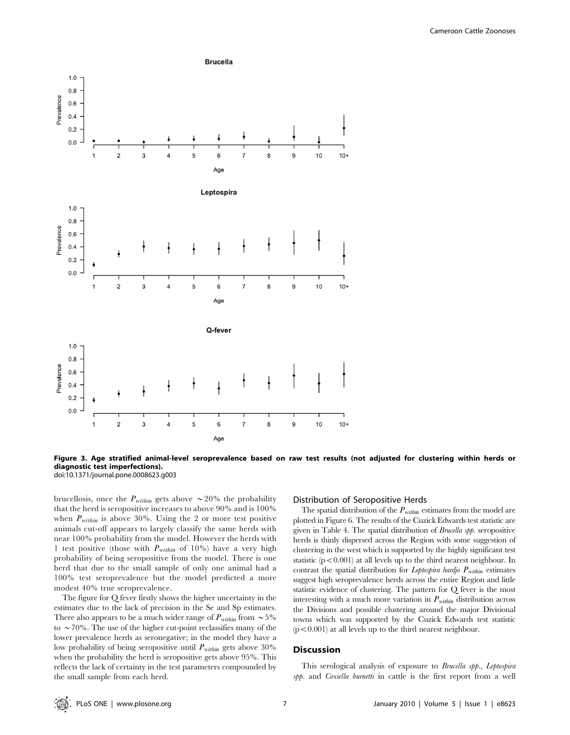

Figure 3. Age stratified animal-level seroprevalence based on raw test results (not adjusted for clustering within herds or diagnostic test imperfections). doi:10.1371/journal.pone.0008623.g003

brucellosis, once the  $P_{within}$  gets above  $\sim$  20% the probability that the herd is seropositive increases to above 90% and is 100% when  $P_{within}$  is above 30%. Using the 2 or more test positive animals cut-off appears to largely classify the same herds with near 100% probability from the model. However the herds with 1 test positive (those with  $P_{within}$  of 10%) have a very high probability of being seropositive from the model. There is one herd that due to the small sample of only one animal had a 100% test seroprevalence but the model predicted a more modest 40% true seroprevalence.

The figure for Q fever firstly shows the higher uncertainty in the estimates due to the lack of precision in the Se and Sp estimates. There also appears to be a much wider range of  $P_{within}$  from  $\sim 5\%$ to  $\sim$  70%. The use of the higher cut-point reclassifies many of the lower prevalence herds as seronegative; in the model they have a low probability of being seropositive until  $P_{within}$  gets above 30% when the probability the herd is seropositive gets above 95%. This reflects the lack of certainty in the test parameters compounded by the small sample from each herd.

#### Distribution of Seropositive Herds

The spatial distribution of the  $P_{within}$  estimates from the model are plotted in Figure 6. The results of the Cuzick Edwards test statistic are given in Table 4. The spatial distribution of Brucella spp. seropositive herds is thinly dispersed across the Region with some suggestion of clustering in the west which is supported by the highly significant test statistic  $(p<0.001)$  at all levels up to the third nearest neighbour. In contrast the spatial distribution for Leptospira hardjo  $P_{within}$  estimates suggest high seroprevalence herds across the entire Region and little statistic evidence of clustering. The pattern for Q fever is the most interesting with a much more variation in  $P_{within}$  distribution across the Divisions and possible clustering around the major Divisional towns which was supported by the Cuzick Edwards test statistic  $(p<0.001)$  at all levels up to the third nearest neighbour.

#### **Discussion**

This serological analysis of exposure to *Brucella spp., Leptospira* spp. and Coxiella burnetti in cattle is the first report from a well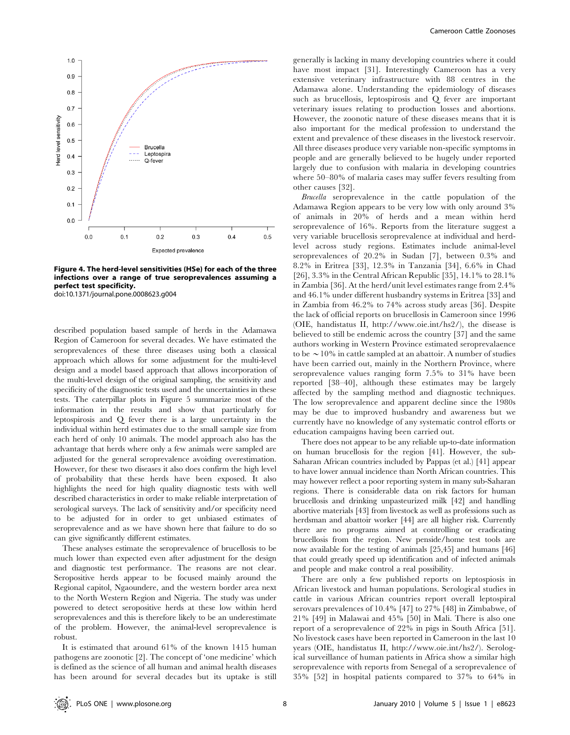

Figure 4. The herd-level sensitivities (HSe) for each of the three infections over a range of true seroprevalences assuming a perfect test specificity. doi:10.1371/journal.pone.0008623.g004

described population based sample of herds in the Adamawa Region of Cameroon for several decades. We have estimated the seroprevalences of these three diseases using both a classical approach which allows for some adjustment for the multi-level design and a model based approach that allows incorporation of the multi-level design of the original sampling, the sensitivity and specificity of the diagnostic tests used and the uncertainties in these tests. The caterpillar plots in Figure 5 summarize most of the information in the results and show that particularly for leptospirosis and Q fever there is a large uncertainty in the individual within herd estimates due to the small sample size from each herd of only 10 animals. The model approach also has the advantage that herds where only a few animals were sampled are adjusted for the general seroprevalence avoiding overestimation. However, for these two diseases it also does confirm the high level of probability that these herds have been exposed. It also highlights the need for high quality diagnostic tests with well described characteristics in order to make reliable interpretation of serological surveys. The lack of sensitivity and/or specificity need to be adjusted for in order to get unbiased estimates of seroprevalence and as we have shown here that failure to do so can give significantly different estimates.

These analyses estimate the seroprevalence of brucellosis to be much lower than expected even after adjustment for the design and diagnostic test performance. The reasons are not clear. Seropositive herds appear to be focused mainly around the Regional capitol, Ngaoundere, and the western border area next to the North Western Region and Nigeria. The study was under powered to detect seropositive herds at these low within herd seroprevalences and this is therefore likely to be an underestimate of the problem. However, the animal-level seroprevalence is robust.

It is estimated that around 61% of the known 1415 human pathogens are zoonotic [2]. The concept of 'one medicine' which is defined as the science of all human and animal health diseases has been around for several decades but its uptake is still

generally is lacking in many developing countries where it could have most impact [31]. Interestingly Cameroon has a very extensive veterinary infrastructure with 88 centres in the Adamawa alone. Understanding the epidemiology of diseases such as brucellosis, leptospirosis and Q fever are important veterinary issues relating to production losses and abortions. However, the zoonotic nature of these diseases means that it is also important for the medical profession to understand the extent and prevalence of these diseases in the livestock reservoir. All three diseases produce very variable non-specific symptoms in people and are generally believed to be hugely under reported largely due to confusion with malaria in developing countries where 50–80% of malaria cases may suffer fevers resulting from other causes [32].

Brucella seroprevalence in the cattle population of the Adamawa Region appears to be very low with only around 3% of animals in 20% of herds and a mean within herd seroprevalence of 16%. Reports from the literature suggest a very variable brucellosis seroprevalence at individual and herdlevel across study regions. Estimates include animal-level seroprevalences of 20.2% in Sudan [7], between 0.3% and 8.2% in Eritrea [33], 12.3% in Tanzania [34], 6.6% in Chad [26], 3.3% in the Central African Republic [35], 14.1% to 28.1% in Zambia [36]. At the herd/unit level estimates range from 2.4% and 46.1% under different husbandry systems in Eritrea [33] and in Zambia from 46.2% to 74% across study areas [36]. Despite the lack of official reports on brucellosis in Cameroon since 1996 (OIE, handistatus II, http://www.oie.int/hs2/), the disease is believed to still be endemic across the country [37] and the same authors working in Western Province estimated seroprevalaence to be  $\sim$  10% in cattle sampled at an abattoir. A number of studies have been carried out, mainly in the Northern Province, where seroprevalence values ranging form 7.5% to 31% have been reported [38–40], although these estimates may be largely affected by the sampling method and diagnostic techniques. The low seroprevalence and apparent decline since the 1980s may be due to improved husbandry and awareness but we currently have no knowledge of any systematic control efforts or education campaigns having been carried out.

There does not appear to be any reliable up-to-date information on human brucellosis for the region [41]. However, the sub-Saharan African countries included by Pappas (et al.) [41] appear to have lower annual incidence than North African countries. This may however reflect a poor reporting system in many sub-Saharan regions. There is considerable data on risk factors for human brucellosis and drinking unpasteurized milk [42] and handling abortive materials [43] from livestock as well as professions such as herdsman and abattoir worker [44] are all higher risk. Currently there are no programs aimed at controlling or eradicating brucellosis from the region. New penside/home test tools are now available for the testing of animals [25,45] and humans [46] that could greatly speed up identification and of infected animals and people and make control a real possibility.

There are only a few published reports on leptospiosis in African livestock and human populations. Serological studies in cattle in various African countries report overall leptospiral serovars prevalences of 10.4% [47] to 27% [48] in Zimbabwe, of 21% [49] in Malawai and 45% [50] in Mali. There is also one report of a seroprevalence of 22% in pigs in South Africa [51]. No livestock cases have been reported in Cameroon in the last 10 years (OIE, handistatus II, http://www.oie.int/hs2/). Serological surveillance of human patients in Africa show a similar high seroprevalence with reports from Senegal of a seroprevalence of 35% [52] in hospital patients compared to 37% to 64% in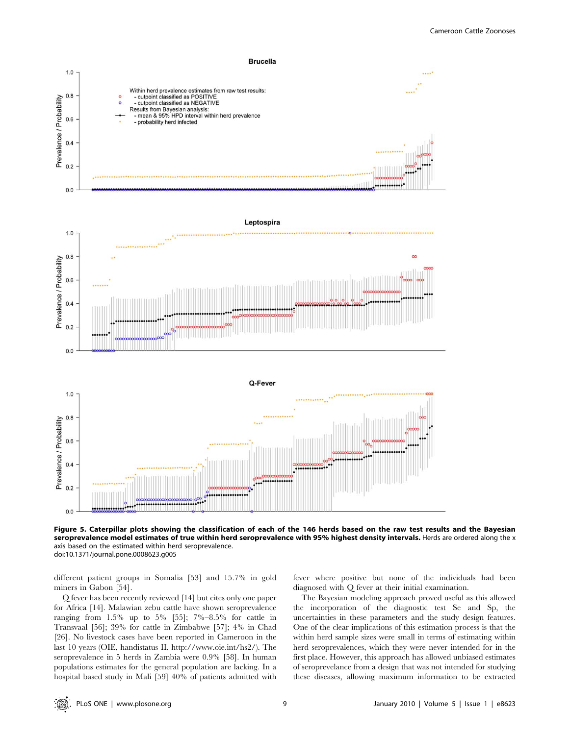

Figure 5. Caterpillar plots showing the classification of each of the 146 herds based on the raw test results and the Bayesian seroprevalence model estimates of true within herd seroprevalence with 95% highest density intervals. Herds are ordered along the x axis based on the estimated within herd seroprevalence. doi:10.1371/journal.pone.0008623.g005

different patient groups in Somalia [53] and 15.7% in gold miners in Gabon [54].

Q fever has been recently reviewed [14] but cites only one paper for Africa [14]. Malawian zebu cattle have shown seroprevalence ranging from 1.5% up to 5% [55]; 7%–8.5% for cattle in Transvaal [56]; 39% for cattle in Zimbabwe [57]; 4% in Chad [26]. No livestock cases have been reported in Cameroon in the last 10 years (OIE, handistatus II, http://www.oie.int/hs2/). The seroprevalence in 5 herds in Zambia were 0.9% [58]. In human populations estimates for the general population are lacking. In a hospital based study in Mali [59] 40% of patients admitted with fever where positive but none of the individuals had been diagnosed with Q fever at their initial examination.

The Bayesian modeling approach proved useful as this allowed the incorporation of the diagnostic test Se and Sp, the uncertainties in these parameters and the study design features. One of the clear implications of this estimation process is that the within herd sample sizes were small in terms of estimating within herd seroprevalences, which they were never intended for in the first place. However, this approach has allowed unbiased estimates of seroprevelance from a design that was not intended for studying these diseases, allowing maximum information to be extracted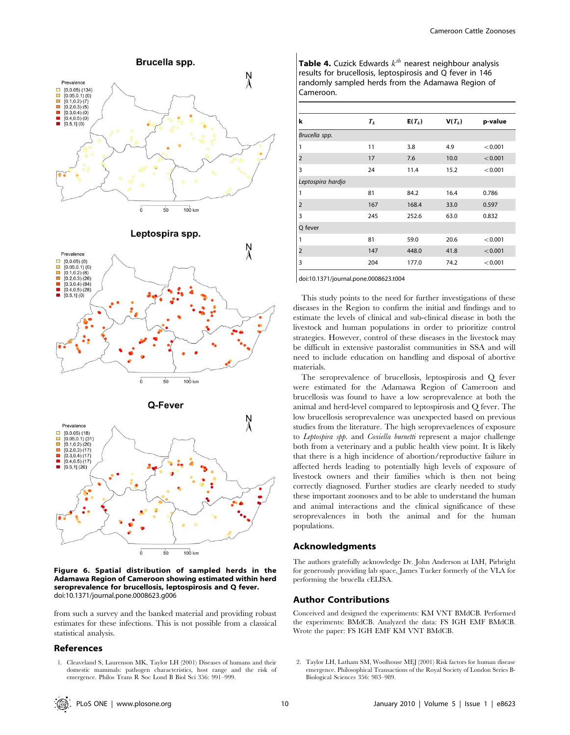

Figure 6. Spatial distribution of sampled herds in the Adamawa Region of Cameroon showing estimated within herd seroprevalence for brucellosis, leptospirosis and Q fever. doi:10.1371/journal.pone.0008623.g006

from such a survey and the banked material and providing robust estimates for these infections. This is not possible from a classical statistical analysis.

#### References

1. Cleaveland S, Laurenson MK, Taylor LH (2001) Diseases of humans and their domestic mammals: pathogen characteristics, host range and the risk of emergence. Philos Trans R Soc Lond B Biol Sci 356: 991–999.

| <b>Table 4.</b> Cuzick Edwards $k^{th}$ nearest neighbour analysis |
|--------------------------------------------------------------------|
| results for brucellosis, leptospirosis and Q fever in 146          |
| randomly sampled herds from the Adamawa Region of                  |
| Cameroon.                                                          |

| k                 | $T_k$ | $E(T_k)$ | $V(T_k)$ | p-value |  |  |  |
|-------------------|-------|----------|----------|---------|--|--|--|
| Brucella spp.     |       |          |          |         |  |  |  |
| 1                 | 11    | 3.8      | 4.9      | < 0.001 |  |  |  |
| $\overline{2}$    | 17    | 7.6      | 10.0     | < 0.001 |  |  |  |
| 3                 | 24    | 11.4     | 15.2     | < 0.001 |  |  |  |
| Leptospira hardjo |       |          |          |         |  |  |  |
| 1                 | 81    | 84.2     | 16.4     | 0.786   |  |  |  |
| $\overline{2}$    | 167   | 168.4    | 33.0     | 0.597   |  |  |  |
| 3                 | 245   | 252.6    | 63.0     | 0.832   |  |  |  |
| Q fever           |       |          |          |         |  |  |  |
| 1                 | 81    | 59.0     | 20.6     | < 0.001 |  |  |  |
| $\overline{2}$    | 147   | 448.0    | 41.8     | < 0.001 |  |  |  |
| 3                 | 204   | 177.0    | 74.2     | < 0.001 |  |  |  |

doi:10.1371/journal.pone.0008623.t004

This study points to the need for further investigations of these diseases in the Region to confirm the initial and findings and to estimate the levels of clinical and sub-clinical disease in both the livestock and human populations in order to prioritize control strategies. However, control of these diseases in the livestock may be difficult in extensive pastoralist communities in SSA and will need to include education on handling and disposal of abortive materials.

The seroprevalence of brucellosis, leptospirosis and Q fever were estimated for the Adamawa Region of Cameroon and brucellosis was found to have a low seroprevalence at both the animal and herd-level compared to leptospirosis and Q fever. The low brucellosis seroprevalence was unexpected based on previous studies from the literature. The high seroprevaelences of exposure to Leptospira spp. and Coxiella burnetti represent a major challenge both from a veterinary and a public health view point. It is likely that there is a high incidence of abortion/reproductive failure in affected herds leading to potentially high levels of exposure of livestock owners and their families which is then not being correctly diagnosed. Further studies are clearly needed to study these important zoonoses and to be able to understand the human and animal interactions and the clinical significance of these seroprevalences in both the animal and for the human populations.

#### Acknowledgments

The authors gratefully acknowledge Dr. John Anderson at IAH, Pirbright for generously providing lab space, James Tucker formerly of the VLA for performing the brucella cELISA.

#### Author Contributions

Conceived and designed the experiments: KM VNT BMdCB. Performed the experiments: BMdCB. Analyzed the data: FS IGH EMF BMdCB. Wrote the paper: FS IGH EMF KM VNT BMdCB.

<sup>2.</sup> Taylor LH, Latham SM, Woolhouse MEJ (2001) Risk factors for human disease emergence. Philosophical Transactions of the Royal Society of London Series B-Biological Sciences 356: 983–989.